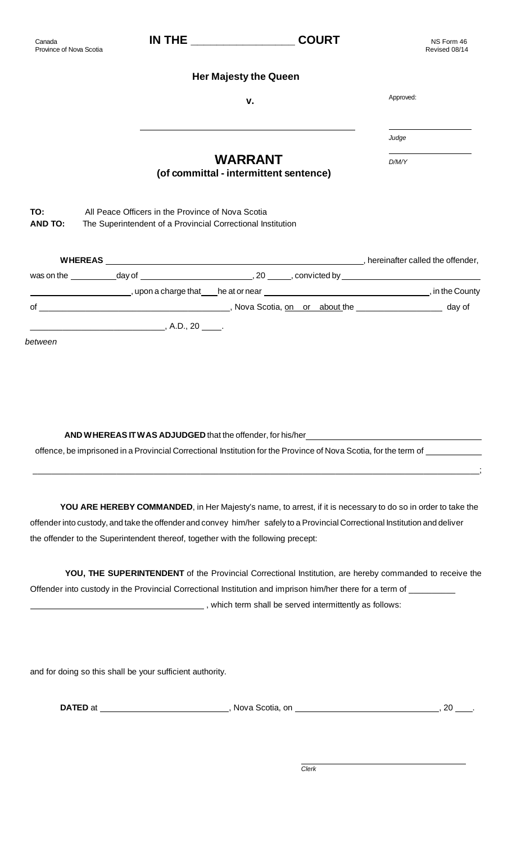## Province of Nova Scotia

Canada

## **Her Majesty the Queen**

## **WARRANT (of committal - intermittent sentence)**

**TO:** All Peace Officers in the Province of Nova Scotia

**AND TO:** The Superintendent of a Provincial Correctional Institution

| <b>WHEREAS</b>                                                                                                  |                          |                                                                                                                | hereinafter called the offender, |
|-----------------------------------------------------------------------------------------------------------------|--------------------------|----------------------------------------------------------------------------------------------------------------|----------------------------------|
| was on the measured by the control of the control of the control of the control of the control of the control o |                          | day of the convicted by the convicted by the convicted by the convicted by the convicted by the convicted by t |                                  |
|                                                                                                                 |                          |                                                                                                                | , in the County                  |
| of                                                                                                              |                          |                                                                                                                | day of                           |
|                                                                                                                 | , A.D., $20 \_\_\_\_\$ . |                                                                                                                |                                  |
| between                                                                                                         |                          |                                                                                                                |                                  |

**AND W HEREAS IT W AS ADJUDGED** that the offender, for his/her

offence, be imprisoned in a Provincial Correctional Institution for the Province of Nova Scotia, for the term of \_\_\_\_\_

**YOU ARE HEREBY COMMANDED**, in Her Majesty's name, to arrest, if it is necessary to do so in order to take the offender into custody, and take the offender and convey him/her safely to a Provincial Correctional Institution and deliver the offender to the Superintendent thereof, together with the following precept:

\_\_\_\_\_\_\_\_\_\_\_\_\_\_\_\_\_\_\_\_\_\_\_\_\_\_\_\_\_\_\_\_\_\_\_\_\_\_\_\_\_\_\_\_\_\_\_\_\_\_\_\_\_\_\_\_\_\_\_\_\_\_\_\_\_\_\_\_\_\_\_\_\_\_\_\_\_\_\_\_\_\_\_\_\_\_\_\_\_\_\_\_\_\_\_\_;

**YOU, THE SUPERINTENDENT** of the Provincial Correctional Institution, are hereby commanded to receive the Offender into custody in the Provincial Correctional Institution and imprison him/her there for a term of \_\_\_\_ (which term shall be served intermittently as follows:

and for doing so this shall be your sufficient authority.

**DATED** at , Nova Scotia, on , 20 .

 NS Form 46 Revised 08/14

**v.** Approved:

*Judge*

*D/M/Y*

**IN THE \_\_\_\_\_\_\_\_\_\_\_\_\_\_\_\_ COURT**